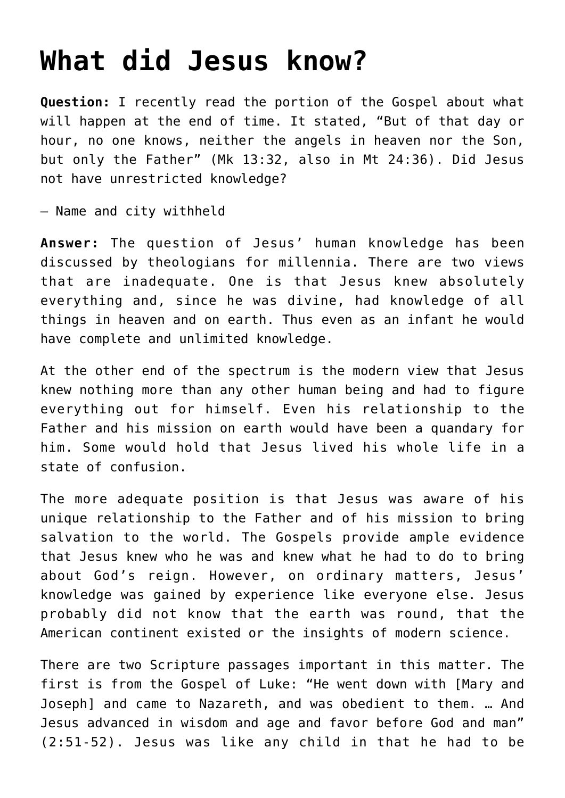## **[What did Jesus know?](https://www.osvnewsweekly.com/2012/04/04/what-did-jesus-know/)**

**Question:** I recently read the portion of the Gospel about what will happen at the end of time. It stated, "But of that day or hour, no one knows, neither the angels in heaven nor the Son, but only the Father" (Mk 13:32, also in Mt 24:36). Did Jesus not have unrestricted knowledge?

— Name and city withheld

**Answer:** The question of Jesus' human knowledge has been discussed by theologians for millennia. There are two views that are inadequate. One is that Jesus knew absolutely everything and, since he was divine, had knowledge of all things in heaven and on earth. Thus even as an infant he would have complete and unlimited knowledge.

At the other end of the spectrum is the modern view that Jesus knew nothing more than any other human being and had to figure everything out for himself. Even his relationship to the Father and his mission on earth would have been a quandary for him. Some would hold that Jesus lived his whole life in a state of confusion.

The more adequate position is that Jesus was aware of his unique relationship to the Father and of his mission to bring salvation to the world. The Gospels provide ample evidence that Jesus knew who he was and knew what he had to do to bring about God's reign. However, on ordinary matters, Jesus' knowledge was gained by experience like everyone else. Jesus probably did not know that the earth was round, that the American continent existed or the insights of modern science.

There are two Scripture passages important in this matter. The first is from the Gospel of Luke: "He went down with [Mary and Joseph] and came to Nazareth, and was obedient to them. … And Jesus advanced in wisdom and age and favor before God and man" (2:51-52). Jesus was like any child in that he had to be